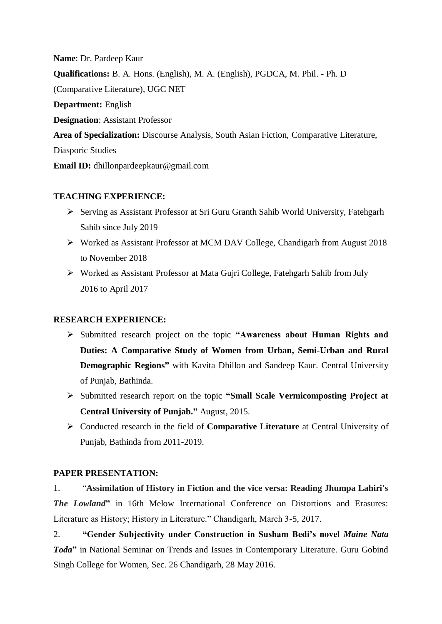**Name**: Dr. Pardeep Kaur **Qualifications:** B. A. Hons. (English), M. A. (English), PGDCA, M. Phil. - Ph. D (Comparative Literature), UGC NET **Department:** English **Designation**: Assistant Professor **Area of Specialization:** Discourse Analysis, South Asian Fiction, Comparative Literature, Diasporic Studies **Email ID:** dhillonpardeepkaur@gmail.com

### **TEACHING EXPERIENCE:**

- Serving as Assistant Professor at Sri Guru Granth Sahib World University, Fatehgarh Sahib since July 2019
- Worked as Assistant Professor at MCM DAV College, Chandigarh from August 2018 to November 2018
- Worked as Assistant Professor at Mata Gujri College, Fatehgarh Sahib from July 2016 to April 2017

# **RESEARCH EXPERIENCE:**

- Submitted research project on the topic **"Awareness about Human Rights and Duties: A Comparative Study of Women from Urban, Semi-Urban and Rural Demographic Regions"** with Kavita Dhillon and Sandeep Kaur. Central University of Punjab, Bathinda.
- Submitted research report on the topic **"Small Scale Vermicomposting Project at Central University of Punjab."** August, 2015.
- Conducted research in the field of **Comparative Literature** at Central University of Punjab, Bathinda from 2011-2019.

# **PAPER PRESENTATION:**

1. "**Assimilation of History in Fiction and the vice versa: Reading Jhumpa Lahiri's**  *The Lowland***"** in 16th Melow International Conference on Distortions and Erasures: Literature as History; History in Literature." Chandigarh, March 3-5, 2017.

2. **"Gender Subjectivity under Construction in Susham Bedi's novel** *Maine Nata Toda***"** in National Seminar on Trends and Issues in Contemporary Literature. Guru Gobind Singh College for Women, Sec. 26 Chandigarh, 28 May 2016.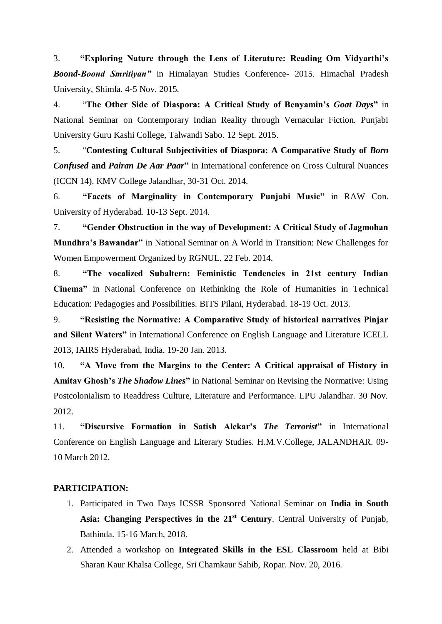3. **"Exploring Nature through the Lens of Literature: Reading Om Vidyarthi's**  *Boond-Boond Smritiyan"* in Himalayan Studies Conference- 2015. Himachal Pradesh University, Shimla. 4-5 Nov. 2015.

4. "**The Other Side of Diaspora: A Critical Study of Benyamin's** *Goat Days***"** in National Seminar on Contemporary Indian Reality through Vernacular Fiction. Punjabi University Guru Kashi College, Talwandi Sabo. 12 Sept. 2015.

5. "**Contesting Cultural Subjectivities of Diaspora: A Comparative Study of** *Born Confused* **and** *Pairan De Aar Paar***"** in International conference on Cross Cultural Nuances (ICCN 14). KMV College Jalandhar, 30-31 Oct. 2014.

6. **"Facets of Marginality in Contemporary Punjabi Music"** in RAW Con. University of Hyderabad. 10-13 Sept. 2014.

7. **"Gender Obstruction in the way of Development: A Critical Study of Jagmohan Mundhra's Bawandar"** in National Seminar on A World in Transition: New Challenges for Women Empowerment Organized by RGNUL. 22 Feb. 2014.

8. **"The vocalized Subaltern: Feministic Tendencies in 21st century Indian Cinema"** in National Conference on Rethinking the Role of Humanities in Technical Education: Pedagogies and Possibilities. BITS Pilani, Hyderabad. 18-19 Oct. 2013.

9. **"Resisting the Normative: A Comparative Study of historical narratives Pinjar and Silent Waters"** in International Conference on English Language and Literature ICELL 2013, IAIRS Hyderabad, India. 19-20 Jan. 2013.

10. **"A Move from the Margins to the Center: A Critical appraisal of History in Amitav Ghosh's** *The Shadow Lines***"** in National Seminar on Revising the Normative: Using Postcolonialism to Readdress Culture, Literature and Performance. LPU Jalandhar. 30 Nov. 2012.

11. **"Discursive Formation in Satish Alekar's** *The Terrorist***"** in International Conference on English Language and Literary Studies. H.M.V.College, JALANDHAR. 09- 10 March 2012.

#### **PARTICIPATION:**

- 1. Participated in Two Days ICSSR Sponsored National Seminar on **India in South Asia: Changing Perspectives in the 21st Century**. Central University of Punjab, Bathinda. 15-16 March, 2018.
- 2. Attended a workshop on **Integrated Skills in the ESL Classroom** held at Bibi Sharan Kaur Khalsa College, Sri Chamkaur Sahib, Ropar. Nov. 20, 2016.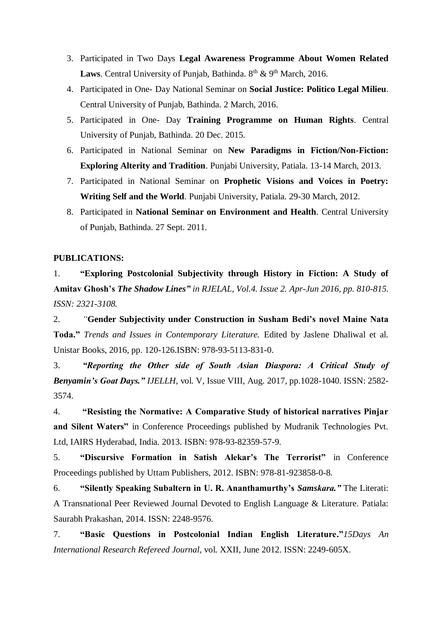- 3. Participated in Two Days **Legal Awareness Programme About Women Related Laws**. Central University of Punjab, Bathinda. 8<sup>th</sup> & 9<sup>th</sup> March, 2016.
- 4. Participated in One- Day National Seminar on **Social Justice: Politico Legal Milieu**. Central University of Punjab, Bathinda. 2 March, 2016.
- 5. Participated in One- Day **Training Programme on Human Rights**. Central University of Punjab, Bathinda. 20 Dec. 2015.
- 6. Participated in National Seminar on **New Paradigms in Fiction/Non-Fiction: Exploring Alterity and Tradition**. Punjabi University, Patiala. 13-14 March, 2013.
- 7. Participated in National Seminar on **Prophetic Visions and Voices in Poetry: Writing Self and the World**. Punjabi University, Patiala. 29-30 March, 2012.
- 8. Participated in **National Seminar on Environment and Health**. Central University of Punjab, Bathinda. 27 Sept. 2011.

#### **PUBLICATIONS:**

1. **"Exploring Postcolonial Subjectivity through History in Fiction: A Study of Amitav Ghosh's** *The Shadow Lines" in RJELAL, Vol.4. Issue 2. Apr-Jun 2016, pp. 810-815. ISSN: 2321-3108.*

2. *"***Gender Subjectivity under Construction in Susham Bedi's novel Maine Nata Toda."** *Trends and Issues in Contemporary Literature.* Edited by Jaslene Dhaliwal et al. Unistar Books, 2016, pp. 120-126.ISBN: 978-93-5113-831-0.

3. *"Reporting the Other side of South Asian Diaspora: A Critical Study of Benyamin's Goat Days." IJELLH,* vol. V, Issue VIII, Aug. 2017, pp.1028-1040. ISSN: 2582- 3574.

4. **"Resisting the Normative: A Comparative Study of historical narratives Pinjar and Silent Waters"** in Conference Proceedings published by Mudranik Technologies Pvt. Ltd, IAIRS Hyderabad, India. 2013. ISBN: 978-93-82359-57-9.

5. **"Discursive Formation in Satish Alekar's The Terrorist"** in Conference Proceedings published by Uttam Publishers, 2012. ISBN: 978-81-923858-0-8.

6. **"Silently Speaking Subaltern in U. R. Ananthamurthy's** *Samskara."* The Literati: A Transnational Peer Reviewed Journal Devoted to English Language & Literature. Patiala: Saurabh Prakashan, 2014. ISSN: 2248-9576.

7. **"Basic Questions in Postcolonial Indian English Literature."***15Days An International Research Refereed Journal,* vol. XXII, June 2012. ISSN: 2249-605X.